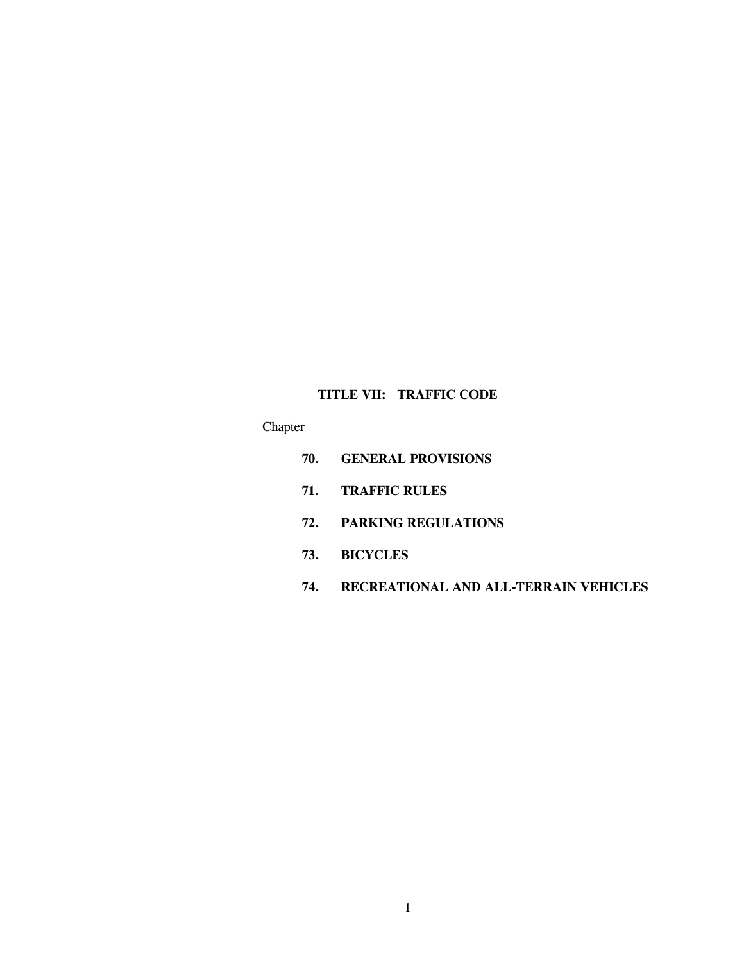# **TITLE VII: TRAFFIC CODE**

Chapter

- **70. GENERAL PROVISIONS**
- **71. TRAFFIC RULES**
- **72. PARKING REGULATIONS**
- **73. BICYCLES**
- **74. RECREATIONAL AND ALL-TERRAIN VEHICLES**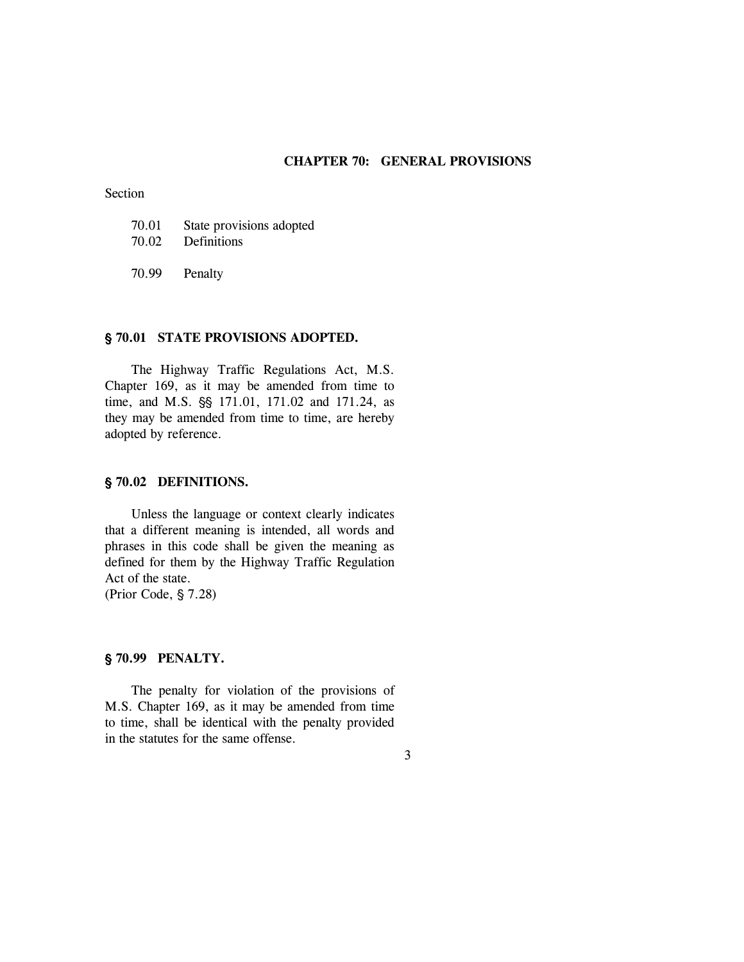### **CHAPTER 70: GENERAL PROVISIONS**

Section

| 70.01 | State provisions adopted |  |
|-------|--------------------------|--|
|-------|--------------------------|--|

- 70.02 Definitions
- 70.99 Penalty

# ' **70.01 STATE PROVISIONS ADOPTED.**

The Highway Traffic Regulations Act, M.S. Chapter 169, as it may be amended from time to time, and M.S.  $\S$  171.01, 171.02 and 171.24, as they may be amended from time to time, are hereby adopted by reference.

### $$70.02$  DEFINITIONS.

Unless the language or context clearly indicates that a different meaning is intended, all words and phrases in this code shall be given the meaning as defined for them by the Highway Traffic Regulation Act of the state.

(Prior Code,  $\S$  7.28)

### ' **70.99 PENALTY.**

The penalty for violation of the provisions of M.S. Chapter 169, as it may be amended from time to time, shall be identical with the penalty provided in the statutes for the same offense.

3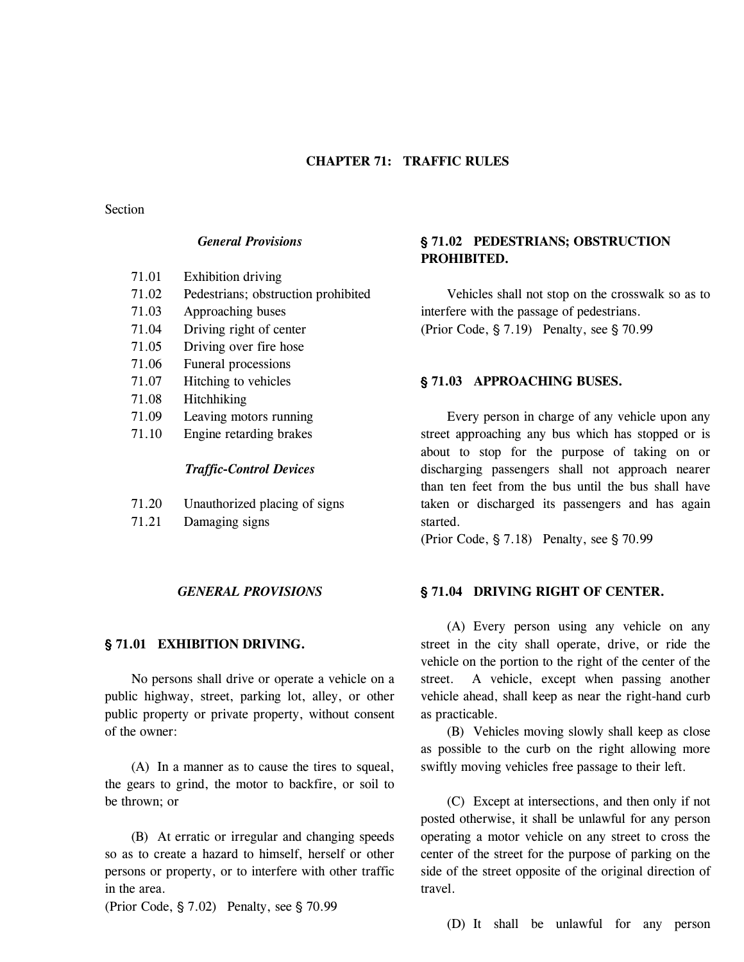# **CHAPTER 71: TRAFFIC RULES**

# **Section**

# *General Provisions*

| 71.01 | <b>Exhibition driving</b> |  |
|-------|---------------------------|--|
|       |                           |  |

- 71.02 Pedestrians; obstruction prohibited
- 71.03 Approaching buses
- 71.04 Driving right of center
- 71.05 Driving over fire hose
- 71.06 Funeral processions
- 71.07 Hitching to vehicles
- 71.08 Hitchhiking
- 71.09 Leaving motors running
- 71.10 Engine retarding brakes

### *Traffic-Control Devices*

- 71.20 Unauthorized placing of signs
- 71.21 Damaging signs

#### *GENERAL PROVISIONS*

#### ' **71.01 EXHIBITION DRIVING.**

No persons shall drive or operate a vehicle on a public highway, street, parking lot, alley, or other public property or private property, without consent of the owner:

(A) In a manner as to cause the tires to squeal, the gears to grind, the motor to backfire, or soil to be thrown; or

(B) At erratic or irregular and changing speeds so as to create a hazard to himself, herself or other persons or property, or to interfere with other traffic in the area.

(Prior Code,  $\S 7.02$ ) Penalty, see  $\S 70.99$ 

# ' **71.02 PEDESTRIANS; OBSTRUCTION PROHIBITED.**

Vehicles shall not stop on the crosswalk so as to interfere with the passage of pedestrians. (Prior Code,  $\S 7.19$ ) Penalty, see  $\S 70.99$ 

#### ' **71.03 APPROACHING BUSES.**

Every person in charge of any vehicle upon any street approaching any bus which has stopped or is about to stop for the purpose of taking on or discharging passengers shall not approach nearer than ten feet from the bus until the bus shall have taken or discharged its passengers and has again started.

(Prior Code,  $\S 7.18$ ) Penalty, see  $\S 70.99$ 

### ' **71.04 DRIVING RIGHT OF CENTER.**

(A) Every person using any vehicle on any street in the city shall operate, drive, or ride the vehicle on the portion to the right of the center of the street. A vehicle, except when passing another vehicle ahead, shall keep as near the right-hand curb as practicable.

(B) Vehicles moving slowly shall keep as close as possible to the curb on the right allowing more swiftly moving vehicles free passage to their left.

(C) Except at intersections, and then only if not posted otherwise, it shall be unlawful for any person operating a motor vehicle on any street to cross the center of the street for the purpose of parking on the side of the street opposite of the original direction of travel.

(D) It shall be unlawful for any person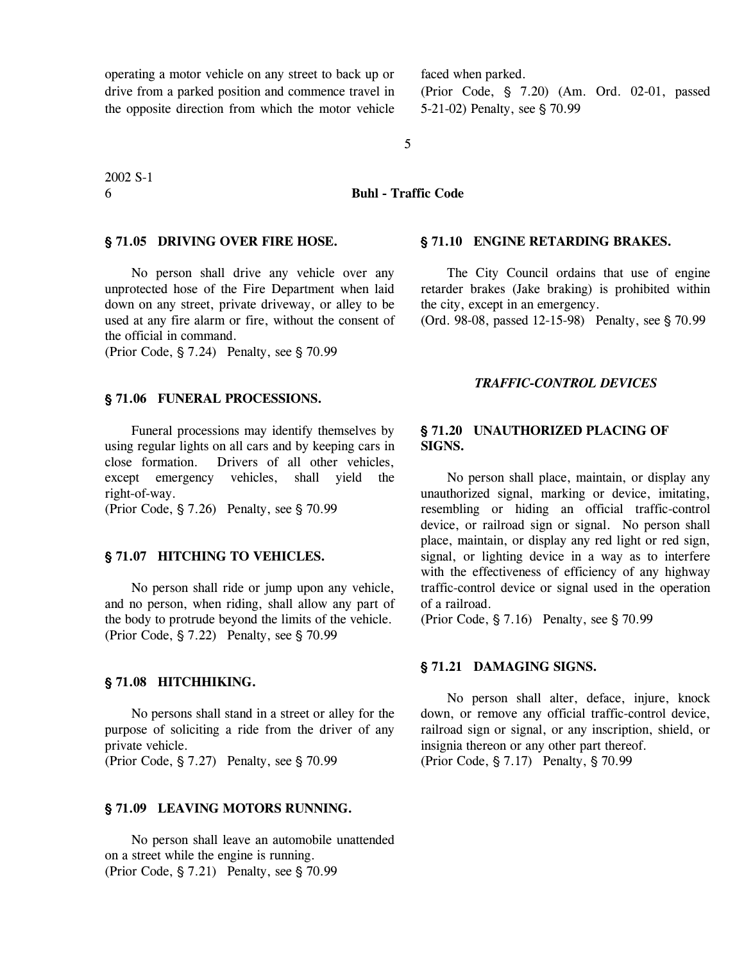operating a motor vehicle on any street to back up or drive from a parked position and commence travel in the opposite direction from which the motor vehicle faced when parked.

(Prior Code, § 7.20) (Am. Ord. 02-01, passed 5-21-02) Penalty, see § 70.99

5

2002 S-1 6 **Buhl - Traffic Code**

#### ' **71.05 DRIVING OVER FIRE HOSE.**

No person shall drive any vehicle over any unprotected hose of the Fire Department when laid down on any street, private driveway, or alley to be used at any fire alarm or fire, without the consent of the official in command.

(Prior Code,  $\S 7.24$ ) Penalty, see  $\S 70.99$ 

#### $$71.06$  FUNERAL PROCESSIONS.

Funeral processions may identify themselves by using regular lights on all cars and by keeping cars in close formation. Drivers of all other vehicles, except emergency vehicles, shall yield the right-of-way.

(Prior Code,  $\S 7.26$ ) Penalty, see  $\S 70.99$ 

### ' **71.07 HITCHING TO VEHICLES.**

No person shall ride or jump upon any vehicle, and no person, when riding, shall allow any part of the body to protrude beyond the limits of the vehicle. (Prior Code,  $\S 7.22$ ) Penalty, see  $\S 70.99$ 

#### ' **71.08 HITCHHIKING.**

No persons shall stand in a street or alley for the purpose of soliciting a ride from the driver of any private vehicle.

(Prior Code,  $\S 7.27$ ) Penalty, see  $\S 70.99$ 

#### ' **71.09 LEAVING MOTORS RUNNING.**

No person shall leave an automobile unattended on a street while the engine is running. (Prior Code,  $\S 7.21$ ) Penalty, see  $\S 70.99$ 

#### ' **71.10 ENGINE RETARDING BRAKES.**

The City Council ordains that use of engine retarder brakes (Jake braking) is prohibited within the city, except in an emergency.

(Ord. 98-08, passed 12-15-98) Penalty, see § 70.99

#### *TRAFFIC-CONTROL DEVICES*

# ' **71.20 UNAUTHORIZED PLACING OF SIGNS.**

No person shall place, maintain, or display any unauthorized signal, marking or device, imitating, resembling or hiding an official traffic-control device, or railroad sign or signal. No person shall place, maintain, or display any red light or red sign, signal, or lighting device in a way as to interfere with the effectiveness of efficiency of any highway traffic-control device or signal used in the operation of a railroad.

(Prior Code,  $\S 7.16$ ) Penalty, see  $\S 70.99$ 

#### $$71.21$  DAMAGING SIGNS.

No person shall alter, deface, injure, knock down, or remove any official traffic-control device, railroad sign or signal, or any inscription, shield, or insignia thereon or any other part thereof. (Prior Code, § 7.17) Penalty, § 70.99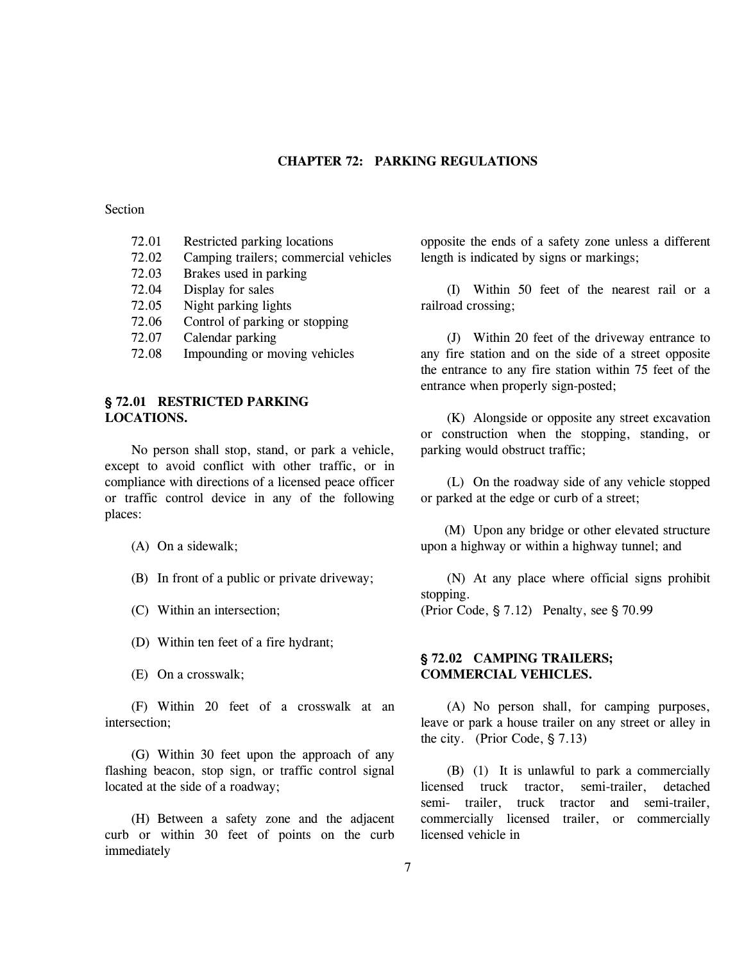# **CHAPTER 72: PARKING REGULATIONS**

# **Section**

- 72.01 Restricted parking locations
- 72.02 Camping trailers; commercial vehicles
- 72.03 Brakes used in parking
- 72.04 Display for sales
- 72.05 Night parking lights
- 72.06 Control of parking or stopping
- 72.07 Calendar parking
- 72.08 Impounding or moving vehicles

# ' **72.01 RESTRICTED PARKING LOCATIONS.**

No person shall stop, stand, or park a vehicle, except to avoid conflict with other traffic, or in compliance with directions of a licensed peace officer or traffic control device in any of the following places:

- (A) On a sidewalk;
- (B) In front of a public or private driveway;
- (C) Within an intersection;
- (D) Within ten feet of a fire hydrant;
- (E) On a crosswalk;

(F) Within 20 feet of a crosswalk at an intersection;

(G) Within 30 feet upon the approach of any flashing beacon, stop sign, or traffic control signal located at the side of a roadway;

(H) Between a safety zone and the adjacent curb or within 30 feet of points on the curb immediately

opposite the ends of a safety zone unless a different length is indicated by signs or markings;

(I) Within 50 feet of the nearest rail or a railroad crossing;

(J) Within 20 feet of the driveway entrance to any fire station and on the side of a street opposite the entrance to any fire station within 75 feet of the entrance when properly sign-posted;

(K) Alongside or opposite any street excavation or construction when the stopping, standing, or parking would obstruct traffic;

(L) On the roadway side of any vehicle stopped or parked at the edge or curb of a street;

(M) Upon any bridge or other elevated structure upon a highway or within a highway tunnel; and

(N) At any place where official signs prohibit stopping.

(Prior Code,  $\S 7.12$ ) Penalty, see  $\S 70.99$ 

# ' **72.02 CAMPING TRAILERS; COMMERCIAL VEHICLES.**

(A) No person shall, for camping purposes, leave or park a house trailer on any street or alley in the city. (Prior Code,  $\S$  7.13)

(B) (1) It is unlawful to park a commercially licensed truck tractor, semi-trailer, detached semi- trailer, truck tractor and semi-trailer, commercially licensed trailer, or commercially licensed vehicle in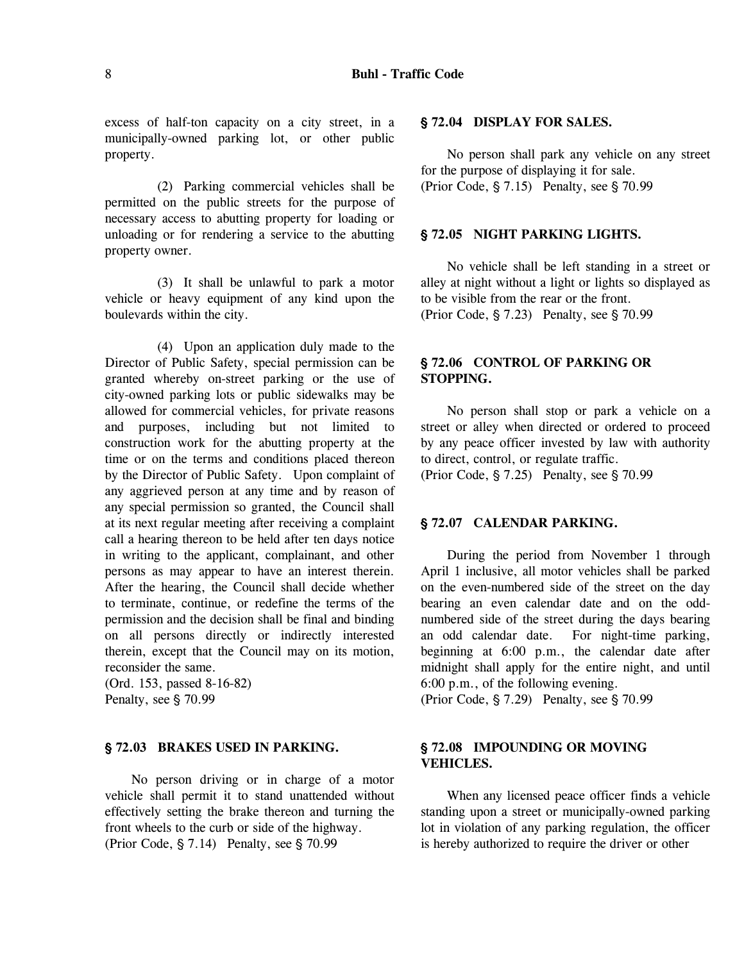excess of half-ton capacity on a city street, in a municipally-owned parking lot, or other public property.

(2) Parking commercial vehicles shall be permitted on the public streets for the purpose of necessary access to abutting property for loading or unloading or for rendering a service to the abutting property owner.

(3) It shall be unlawful to park a motor vehicle or heavy equipment of any kind upon the boulevards within the city.

(4) Upon an application duly made to the Director of Public Safety, special permission can be granted whereby on-street parking or the use of city-owned parking lots or public sidewalks may be allowed for commercial vehicles, for private reasons and purposes, including but not limited to construction work for the abutting property at the time or on the terms and conditions placed thereon by the Director of Public Safety. Upon complaint of any aggrieved person at any time and by reason of any special permission so granted, the Council shall at its next regular meeting after receiving a complaint call a hearing thereon to be held after ten days notice in writing to the applicant, complainant, and other persons as may appear to have an interest therein. After the hearing, the Council shall decide whether to terminate, continue, or redefine the terms of the permission and the decision shall be final and binding on all persons directly or indirectly interested therein, except that the Council may on its motion, reconsider the same.

(Ord. 153, passed 8-16-82) Penalty, see § 70.99

#### ' **72.03 BRAKES USED IN PARKING.**

No person driving or in charge of a motor vehicle shall permit it to stand unattended without effectively setting the brake thereon and turning the front wheels to the curb or side of the highway. (Prior Code,  $\S 7.14$ ) Penalty, see  $\S 70.99$ 

#### ' **72.04 DISPLAY FOR SALES.**

No person shall park any vehicle on any street for the purpose of displaying it for sale. (Prior Code,  $\S 7.15$ ) Penalty, see  $\S 70.99$ 

#### ' **72.05 NIGHT PARKING LIGHTS.**

No vehicle shall be left standing in a street or alley at night without a light or lights so displayed as to be visible from the rear or the front. (Prior Code,  $\S 7.23$ ) Penalty, see  $\S 70.99$ 

# ' **72.06 CONTROL OF PARKING OR STOPPING.**

No person shall stop or park a vehicle on a street or alley when directed or ordered to proceed by any peace officer invested by law with authority to direct, control, or regulate traffic. (Prior Code,  $\S 7.25$ ) Penalty, see  $\S 70.99$ 

#### ' **72.07 CALENDAR PARKING.**

During the period from November 1 through April 1 inclusive, all motor vehicles shall be parked on the even-numbered side of the street on the day bearing an even calendar date and on the oddnumbered side of the street during the days bearing an odd calendar date. For night-time parking, beginning at 6:00 p.m., the calendar date after midnight shall apply for the entire night, and until 6:00 p.m., of the following evening.

(Prior Code,  $\S 7.29$ ) Penalty, see  $\S 70.99$ 

# ' **72.08 IMPOUNDING OR MOVING VEHICLES.**

When any licensed peace officer finds a vehicle standing upon a street or municipally-owned parking lot in violation of any parking regulation, the officer is hereby authorized to require the driver or other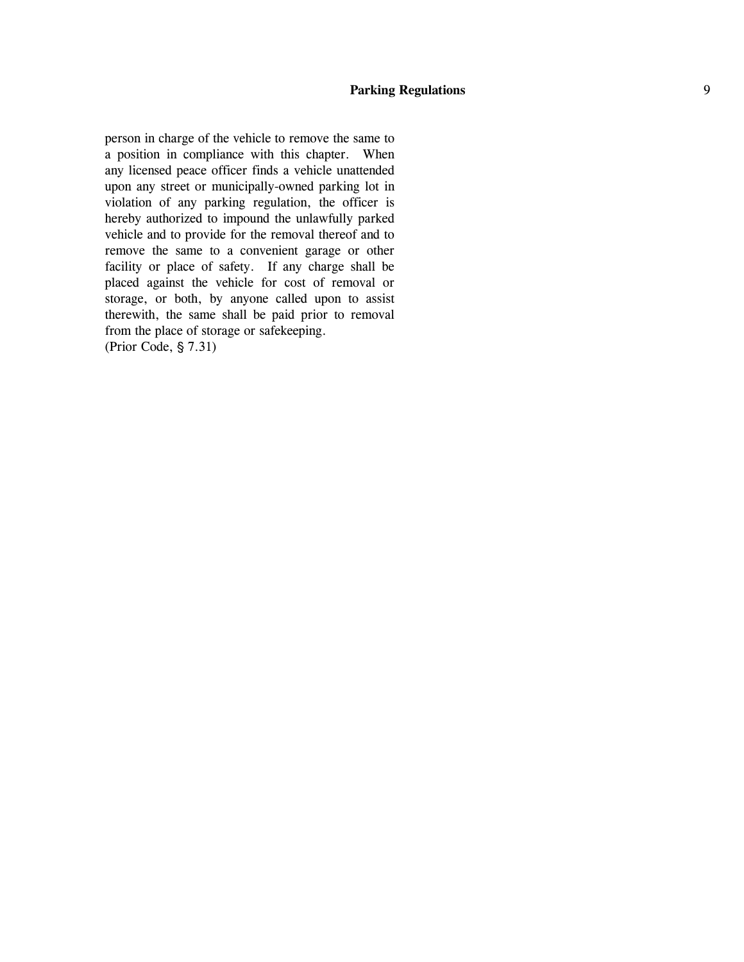person in charge of the vehicle to remove the same to a position in compliance with this chapter. When any licensed peace officer finds a vehicle unattended upon any street or municipally -owned parking lot in violation of any parking regulation, the officer is hereby authorized to impound the unlawfully parked vehicle and to provide for the removal thereof and to remove the same to a convenient garage or other facility or place of safety. If any charge shall be placed against the vehicle for cost of removal or storage, or both, by anyone called upon to assist therewith, the same shall be paid prior to removal from the place of storage or safekeeping. (Prior Code, § 7.31)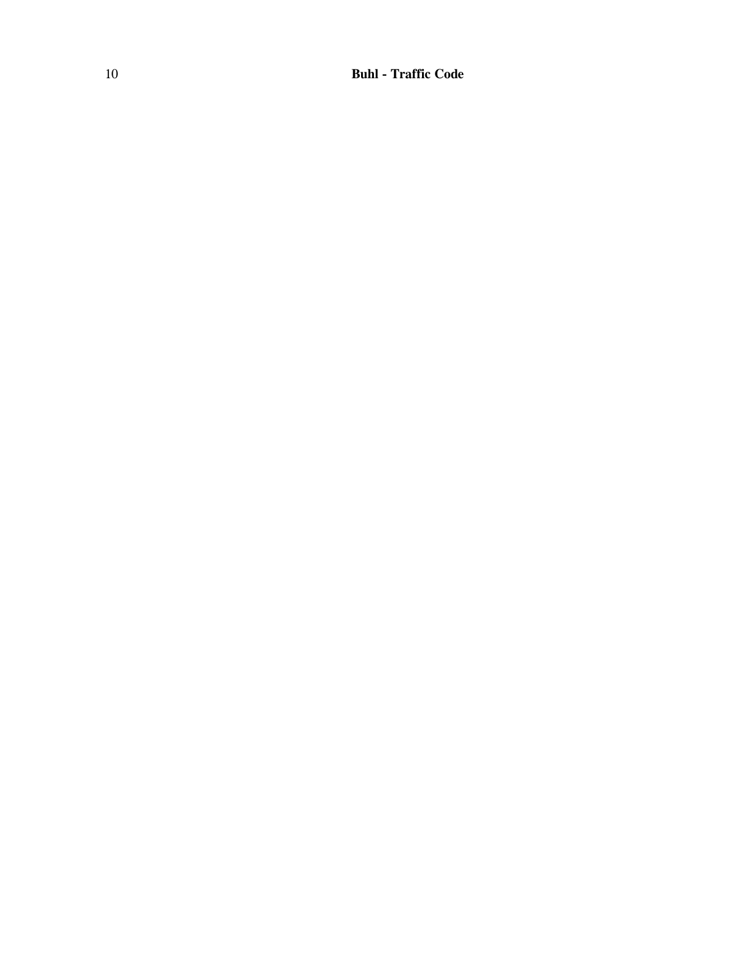**Buhl - Traffic Code**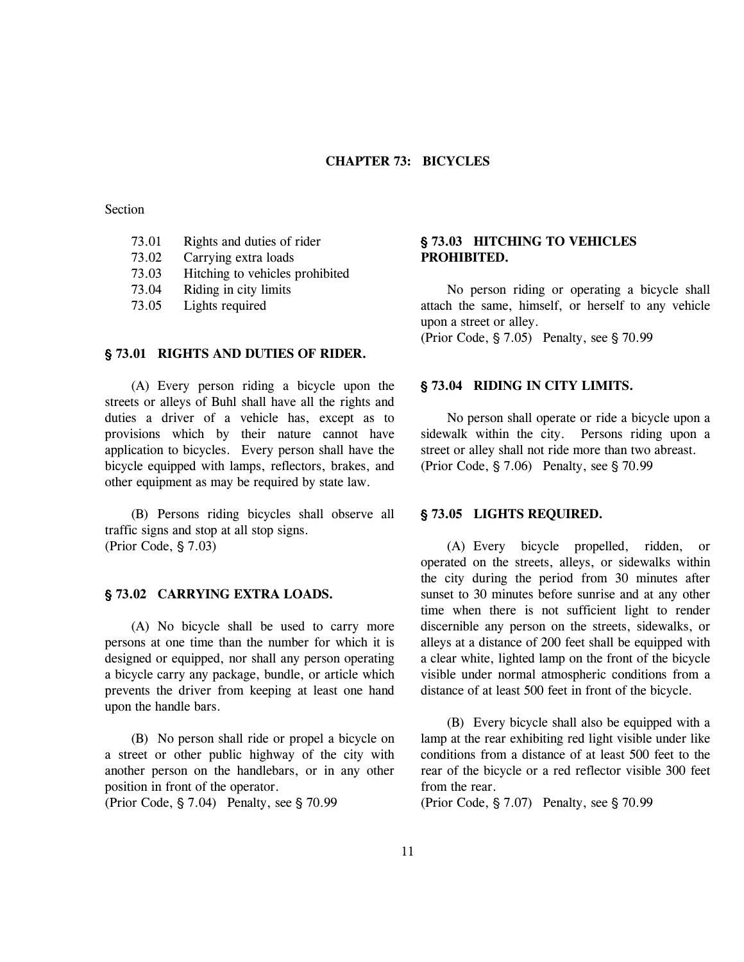# **CHAPTER 73: BICYCLES**

# **Section**

- 73.01 Rights and duties of rider
- 73.02 Carrying extra loads
- 73.03 Hitching to vehicles prohibited
- 73.04 Riding in city limits
- 73.05 Lights required

### ' **73.01 RIGHTS AND DUTIES OF RIDER.**

(A) Every person riding a bicycle upon the streets or alleys of Buhl shall have all the rights and duties a driver of a vehicle has, except as to provisions which by their nature cannot have application to bicycles. Every person shall have the bicycle equipped with lamps, reflectors, brakes, and other equipment as may be required by state law.

(B) Persons riding bicycles shall observe all traffic signs and stop at all stop signs. (Prior Code,  $\S$  7.03)

### ' **73.02 CARRYING EXTRA LOADS.**

(A) No bicycle shall be used to carry more persons at one time than the number for which it is designed or equipped, nor shall any person operating a bicycle carry any package, bundle, or article which prevents the driver from keeping at least one hand upon the handle bars.

(B) No person shall ride or propel a bicycle on a street or other public highway of the city with another person on the handlebars, or in any other position in front of the operator.

(Prior Code,  $\S 7.04$ ) Penalty, see  $\S 70.99$ 

# ' **73.03 HITCHING TO VEHICLES PROHIBITED.**

No person riding or operating a bicycle shall attach the same, himself, or herself to any vehicle upon a street or alley.

(Prior Code,  $\S 7.05$ ) Penalty, see  $\S 70.99$ 

### ' **73.04 RIDING IN CITY LIMITS.**

No person shall operate or ride a bicycle upon a sidewalk within the city. Persons riding upon a street or alley shall not ride more than two abreast. (Prior Code,  $\S 7.06$ ) Penalty, see  $\S 70.99$ 

## ' **73.05 LIGHTS REQUIRED.**

(A) Every bicycle propelled, ridden, or operated on the streets, alleys, or sidewalks within the city during the period from 30 minutes after sunset to 30 minutes before sunrise and at any other time when there is not sufficient light to render discernible any person on the streets, sidewalks, or alleys at a distance of 200 feet shall be equipped with a clear white, lighted lamp on the front of the bicycle visible under normal atmospheric conditions from a distance of at least 500 feet in front of the bicycle.

(B) Every bicycle shall also be equipped with a lamp at the rear exhibiting red light visible under like conditions from a distance of at least 500 feet to the rear of the bicycle or a red reflector visible 300 feet from the rear.

(Prior Code,  $\S 7.07$ ) Penalty, see  $\S 70.99$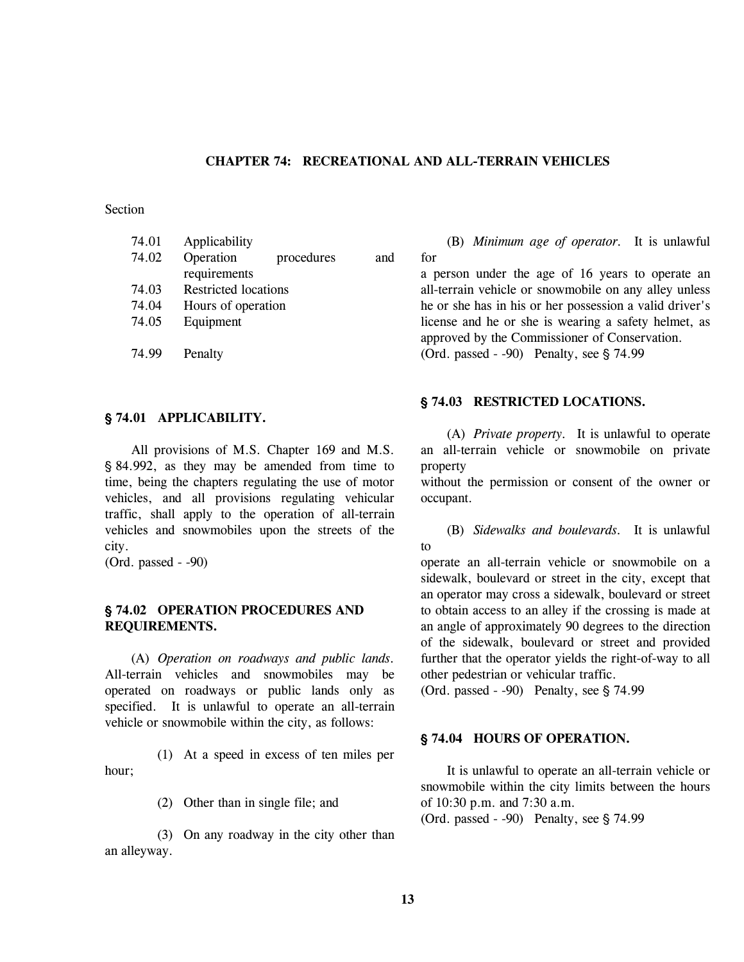## **CHAPTER 74: RECREATIONAL AND ALL-TERRAIN VEHICLES**

# **Section**

| 74.01 | Applicability               |            |     |
|-------|-----------------------------|------------|-----|
| 74.02 | Operation                   | procedures | and |
|       | requirements                |            |     |
| 74.03 | <b>Restricted locations</b> |            |     |
| 74.04 | Hours of operation          |            |     |
| 74.05 | Equipment                   |            |     |
|       |                             |            |     |
| 74.99 | Penalty                     |            |     |

#### ' **74.01 APPLICABILITY.**

All provisions of M.S. Chapter 169 and M.S. ' 84.992, as they may be amended from time to time, being the chapters regulating the use of motor vehicles, and all provisions regulating vehicular traffic, shall apply to the operation of all-terrain vehicles and snowmobiles upon the streets of the city.

(Ord. passed - -90)

### ' **74.02 OPERATION PROCEDURES AND REQUIREMENTS.**

(A) *Operation on roadways and public lands.* All-terrain vehicles and snowmobiles may be operated on roadways or public lands only as specified. It is unlawful to operate an all-terrain vehicle or snowmobile within the city, as follows:

(1) At a speed in excess of ten miles per hour;

(2) Other than in single file; and

(3) On any roadway in the city other than an alleyway.

(B) *Minimum age of operator.* It is unlawful for

a person under the age of 16 years to operate an all-terrain vehicle or snowmobile on any alley unless he or she has in his or her possession a valid driver's license and he or she is wearing a safety helmet, as approved by the Commissioner of Conservation. (Ord. passed  $-90$ ) Penalty, see  $\S$  74.99

### ' **74.03 RESTRICTED LOCATIONS.**

(A) *Private property.* It is unlawful to operate an all-terrain vehicle or snowmobile on private property

without the permission or consent of the owner or occupant.

(B) *Sidewalks and boulevards.* It is unlawful

operate an all-terrain vehicle or snowmobile on a sidewalk, boulevard or street in the city, except that an operator may cross a sidewalk, boulevard or street to obtain access to an alley if the crossing is made at an angle of approximately 90 degrees to the direction of the sidewalk, boulevard or street and provided further that the operator yields the right-of-way to all other pedestrian or vehicular traffic.

(Ord. passed  $-90$ ) Penalty, see  $\S$  74.99

#### $$74.04$  HOURS OF OPERATION.

It is unlawful to operate an all-terrain vehicle or snowmobile within the city limits between the hours of 10:30 p.m. and 7:30 a.m.

(Ord. passed  $-90$ ) Penalty, see  $\S$  74.99

to